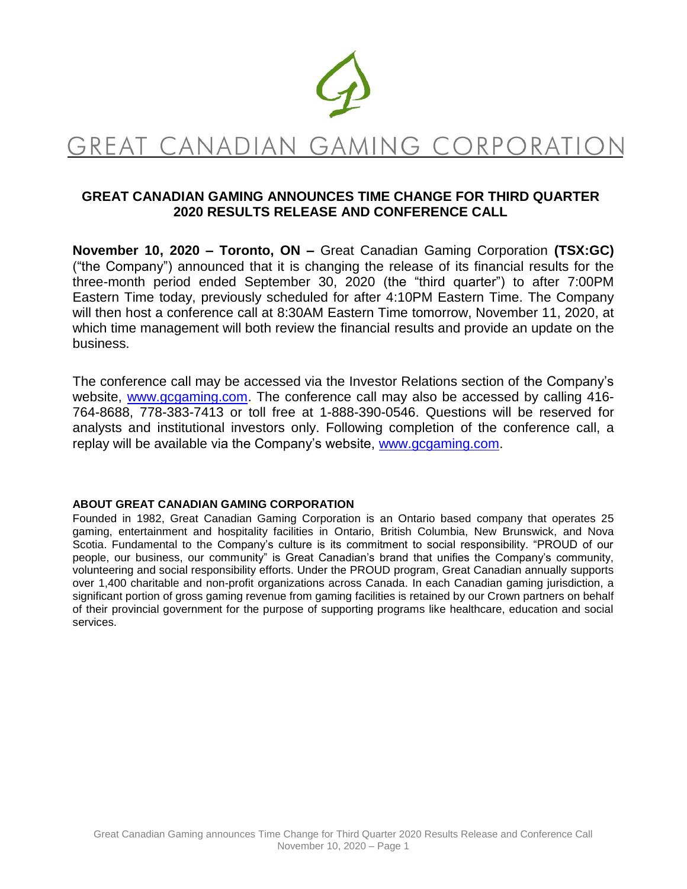

# GREAT CANADIAN GAMING CORPORATION

## **GREAT CANADIAN GAMING ANNOUNCES TIME CHANGE FOR THIRD QUARTER 2020 RESULTS RELEASE AND CONFERENCE CALL**

**November 10, 2020 – Toronto, ON –** Great Canadian Gaming Corporation **(TSX:GC)** ("the Company") announced that it is changing the release of its financial results for the three-month period ended September 30, 2020 (the "third quarter") to after 7:00PM Eastern Time today, previously scheduled for after 4:10PM Eastern Time. The Company will then host a conference call at 8:30AM Eastern Time tomorrow, November 11, 2020, at which time management will both review the financial results and provide an update on the business.

The conference call may be accessed via the Investor Relations section of the Company's website, [www.gcgaming.com.](http://www.gcgaming.com/) The conference call may also be accessed by calling 416- 764-8688, 778-383-7413 or toll free at 1-888-390-0546. Questions will be reserved for analysts and institutional investors only. Following completion of the conference call, a replay will be available via the Company's website, [www.gcgaming.com.](http://www.gcgaming.com/)

#### **ABOUT GREAT CANADIAN GAMING CORPORATION**

Founded in 1982, Great Canadian Gaming Corporation is an Ontario based company that operates 25 gaming, entertainment and hospitality facilities in Ontario, British Columbia, New Brunswick, and Nova Scotia. Fundamental to the Company's culture is its commitment to social responsibility. "PROUD of our people, our business, our community" is Great Canadian's brand that unifies the Company's community, volunteering and social responsibility efforts. Under the PROUD program, Great Canadian annually supports over 1,400 charitable and non-profit organizations across Canada. In each Canadian gaming jurisdiction, a significant portion of gross gaming revenue from gaming facilities is retained by our Crown partners on behalf of their provincial government for the purpose of supporting programs like healthcare, education and social services.